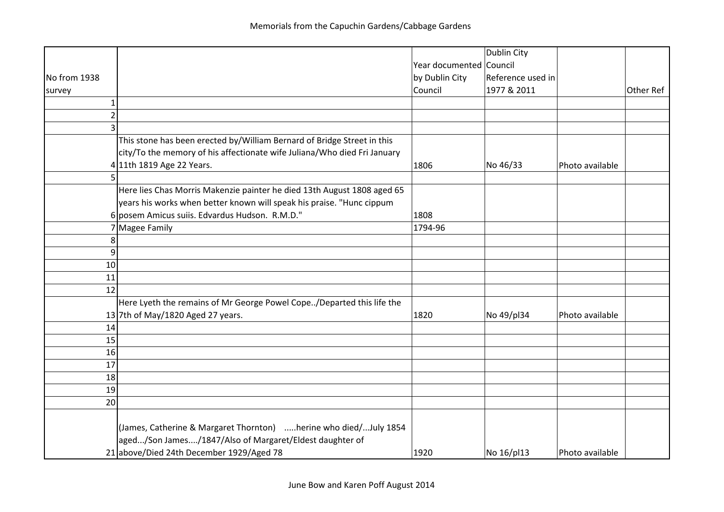|                |                                                                          |                         | <b>Dublin City</b> |                 |           |
|----------------|--------------------------------------------------------------------------|-------------------------|--------------------|-----------------|-----------|
|                |                                                                          | Year documented Council |                    |                 |           |
| No from 1938   |                                                                          | by Dublin City          | Reference used in  |                 |           |
| survey         |                                                                          | Council                 | 1977 & 2011        |                 | Other Ref |
| $\mathbf 1$    |                                                                          |                         |                    |                 |           |
| $\overline{2}$ |                                                                          |                         |                    |                 |           |
| 3              |                                                                          |                         |                    |                 |           |
|                | This stone has been erected by/William Bernard of Bridge Street in this  |                         |                    |                 |           |
|                | city/To the memory of his affectionate wife Juliana/Who died Fri January |                         |                    |                 |           |
|                | 4 11th 1819 Age 22 Years.                                                | 1806                    | No 46/33           | Photo available |           |
| 5              |                                                                          |                         |                    |                 |           |
|                | Here lies Chas Morris Makenzie painter he died 13th August 1808 aged 65  |                         |                    |                 |           |
|                | years his works when better known will speak his praise. "Hunc cippum    |                         |                    |                 |           |
|                | 6 posem Amicus suiis. Edvardus Hudson. R.M.D."                           | 1808                    |                    |                 |           |
|                | 7 Magee Family                                                           | 1794-96                 |                    |                 |           |
| 8              |                                                                          |                         |                    |                 |           |
| 9              |                                                                          |                         |                    |                 |           |
| 10             |                                                                          |                         |                    |                 |           |
| 11             |                                                                          |                         |                    |                 |           |
| 12             |                                                                          |                         |                    |                 |           |
|                | Here Lyeth the remains of Mr George Powel Cope/Departed this life the    |                         |                    |                 |           |
|                | 13 7th of May/1820 Aged 27 years.                                        | 1820                    | No 49/pl34         | Photo available |           |
| 14             |                                                                          |                         |                    |                 |           |
| 15             |                                                                          |                         |                    |                 |           |
| 16             |                                                                          |                         |                    |                 |           |
| 17             |                                                                          |                         |                    |                 |           |
| 18             |                                                                          |                         |                    |                 |           |
| 19             |                                                                          |                         |                    |                 |           |
| 20             |                                                                          |                         |                    |                 |           |
|                |                                                                          |                         |                    |                 |           |
|                | (James, Catherine & Margaret Thornton) herine who died/July 1854         |                         |                    |                 |           |
|                | aged/Son James/1847/Also of Margaret/Eldest daughter of                  |                         |                    |                 |           |
|                | 21 above/Died 24th December 1929/Aged 78                                 | 1920                    | No 16/pl13         | Photo available |           |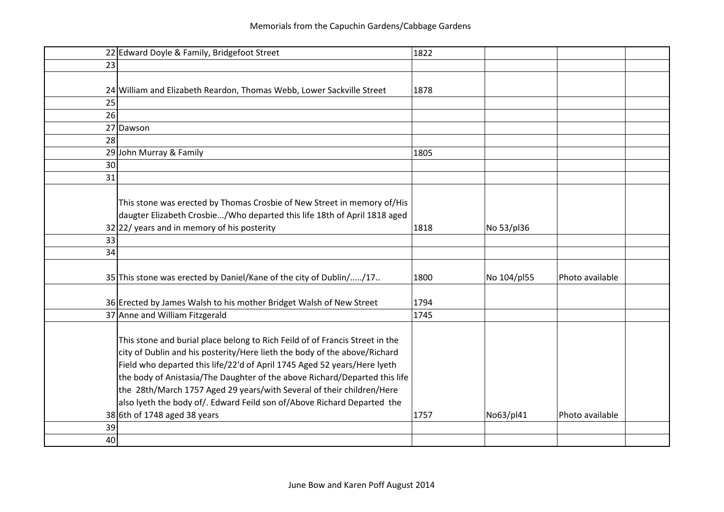|    | 22 Edward Doyle & Family, Bridgefoot Street                                  | 1822 |             |                 |  |
|----|------------------------------------------------------------------------------|------|-------------|-----------------|--|
| 23 |                                                                              |      |             |                 |  |
|    |                                                                              |      |             |                 |  |
|    | 24 William and Elizabeth Reardon, Thomas Webb, Lower Sackville Street        | 1878 |             |                 |  |
| 25 |                                                                              |      |             |                 |  |
| 26 |                                                                              |      |             |                 |  |
|    | 27 Dawson                                                                    |      |             |                 |  |
| 28 |                                                                              |      |             |                 |  |
|    | 29 John Murray & Family                                                      | 1805 |             |                 |  |
| 30 |                                                                              |      |             |                 |  |
| 31 |                                                                              |      |             |                 |  |
|    |                                                                              |      |             |                 |  |
|    | This stone was erected by Thomas Crosbie of New Street in memory of/His      |      |             |                 |  |
|    | daugter Elizabeth Crosbie/Who departed this life 18th of April 1818 aged     |      |             |                 |  |
|    | $32 22/$ years and in memory of his posterity                                | 1818 | No 53/pl36  |                 |  |
| 33 |                                                                              |      |             |                 |  |
| 34 |                                                                              |      |             |                 |  |
|    |                                                                              |      |             |                 |  |
|    | 35 This stone was erected by Daniel/Kane of the city of Dublin//17           | 1800 | No 104/pl55 | Photo available |  |
|    | 36 Erected by James Walsh to his mother Bridget Walsh of New Street          | 1794 |             |                 |  |
|    | 37 Anne and William Fitzgerald                                               | 1745 |             |                 |  |
|    |                                                                              |      |             |                 |  |
|    | This stone and burial place belong to Rich Feild of of Francis Street in the |      |             |                 |  |
|    | city of Dublin and his posterity/Here lieth the body of the above/Richard    |      |             |                 |  |
|    | Field who departed this life/22'd of April 1745 Aged 52 years/Here lyeth     |      |             |                 |  |
|    | the body of Anistasia/The Daughter of the above Richard/Departed this life   |      |             |                 |  |
|    | the 28th/March 1757 Aged 29 years/with Several of their children/Here        |      |             |                 |  |
|    | also lyeth the body of/. Edward Feild son of/Above Richard Departed the      |      |             |                 |  |
|    | $38$ 6th of 1748 aged 38 years                                               | 1757 | No63/pl41   | Photo available |  |
| 39 |                                                                              |      |             |                 |  |
| 40 |                                                                              |      |             |                 |  |
|    |                                                                              |      |             |                 |  |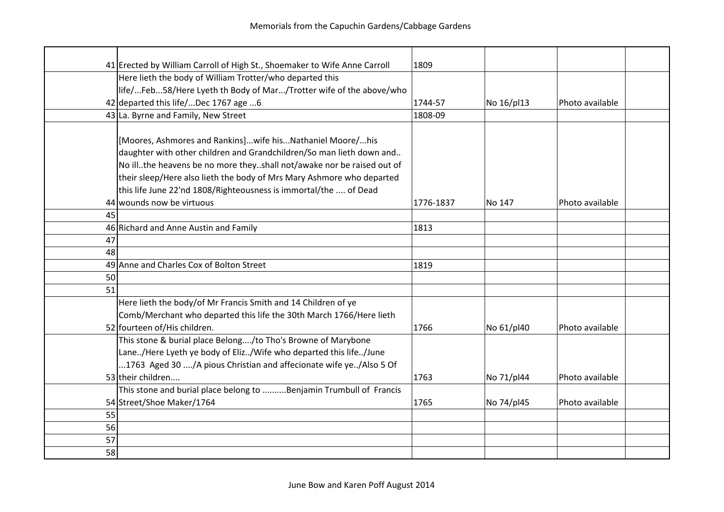|    | 41 Erected by William Carroll of High St., Shoemaker to Wife Anne Carroll                                                                                                                                                                                                                                                                                                                | 1809      |            |                 |  |
|----|------------------------------------------------------------------------------------------------------------------------------------------------------------------------------------------------------------------------------------------------------------------------------------------------------------------------------------------------------------------------------------------|-----------|------------|-----------------|--|
|    | Here lieth the body of William Trotter/who departed this                                                                                                                                                                                                                                                                                                                                 |           |            |                 |  |
|    | life/Feb58/Here Lyeth th Body of Mar/Trotter wife of the above/who                                                                                                                                                                                                                                                                                                                       |           |            |                 |  |
|    | 42 departed this life/Dec 1767 age 6                                                                                                                                                                                                                                                                                                                                                     | 1744-57   | No 16/pl13 | Photo available |  |
|    | 43 La. Byrne and Family, New Street                                                                                                                                                                                                                                                                                                                                                      | 1808-09   |            |                 |  |
|    | [Moores, Ashmores and Rankins]wife hisNathaniel Moore/his<br>daughter with other children and Grandchildren/So man lieth down and<br>No ill. the heavens be no more they. shall not/awake nor be raised out of<br>their sleep/Here also lieth the body of Mrs Mary Ashmore who departed<br>this life June 22'nd 1808/Righteousness is immortal/the  of Dead<br>44 wounds now be virtuous | 1776-1837 | No 147     | Photo available |  |
| 45 |                                                                                                                                                                                                                                                                                                                                                                                          |           |            |                 |  |
|    | 46 Richard and Anne Austin and Family                                                                                                                                                                                                                                                                                                                                                    | 1813      |            |                 |  |
| 47 |                                                                                                                                                                                                                                                                                                                                                                                          |           |            |                 |  |
| 48 |                                                                                                                                                                                                                                                                                                                                                                                          |           |            |                 |  |
|    | 49 Anne and Charles Cox of Bolton Street                                                                                                                                                                                                                                                                                                                                                 | 1819      |            |                 |  |
| 50 |                                                                                                                                                                                                                                                                                                                                                                                          |           |            |                 |  |
| 51 |                                                                                                                                                                                                                                                                                                                                                                                          |           |            |                 |  |
|    | Here lieth the body/of Mr Francis Smith and 14 Children of ye<br>Comb/Merchant who departed this life the 30th March 1766/Here lieth<br>52 fourteen of/His children.                                                                                                                                                                                                                     | 1766      | No 61/pl40 | Photo available |  |
|    | This stone & burial place Belong/to Tho's Browne of Marybone<br>Lane/Here Lyeth ye body of Eliz/Wife who departed this life/June<br>1763 Aged 30 /A pious Christian and affecionate wife ye/Also 5 Of<br>53 their children                                                                                                                                                               | 1763      | No 71/pl44 | Photo available |  |
|    | This stone and burial place belong to Benjamin Trumbull of Francis                                                                                                                                                                                                                                                                                                                       |           |            |                 |  |
|    | 54 Street/Shoe Maker/1764                                                                                                                                                                                                                                                                                                                                                                | 1765      | No 74/pl45 | Photo available |  |
| 55 |                                                                                                                                                                                                                                                                                                                                                                                          |           |            |                 |  |
| 56 |                                                                                                                                                                                                                                                                                                                                                                                          |           |            |                 |  |
| 57 |                                                                                                                                                                                                                                                                                                                                                                                          |           |            |                 |  |
| 58 |                                                                                                                                                                                                                                                                                                                                                                                          |           |            |                 |  |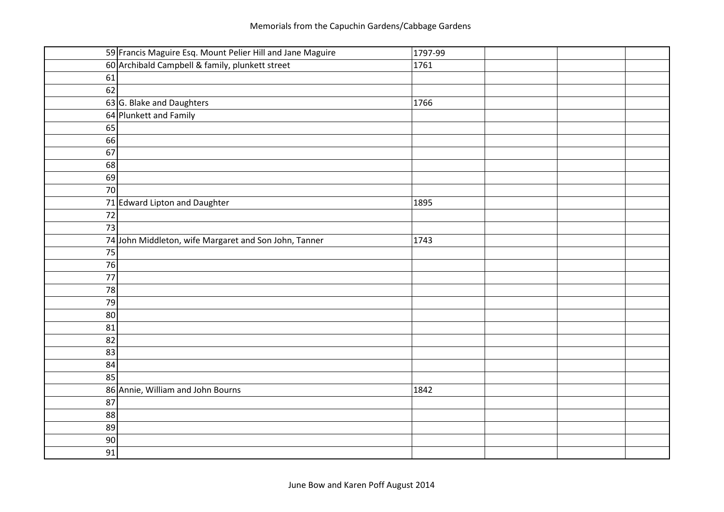|    | 59 Francis Maguire Esq. Mount Pelier Hill and Jane Maguire | 1797-99 |  |
|----|------------------------------------------------------------|---------|--|
|    | 60 Archibald Campbell & family, plunkett street            | 1761    |  |
| 61 |                                                            |         |  |
| 62 |                                                            |         |  |
|    | 63 G. Blake and Daughters                                  | 1766    |  |
|    | 64 Plunkett and Family                                     |         |  |
| 65 |                                                            |         |  |
| 66 |                                                            |         |  |
| 67 |                                                            |         |  |
| 68 |                                                            |         |  |
| 69 |                                                            |         |  |
| 70 |                                                            |         |  |
|    | 71 Edward Lipton and Daughter                              | 1895    |  |
| 72 |                                                            |         |  |
| 73 |                                                            |         |  |
|    | 74 John Middleton, wife Margaret and Son John, Tanner      | 1743    |  |
| 75 |                                                            |         |  |
| 76 |                                                            |         |  |
| 77 |                                                            |         |  |
| 78 |                                                            |         |  |
| 79 |                                                            |         |  |
| 80 |                                                            |         |  |
| 81 |                                                            |         |  |
| 82 |                                                            |         |  |
| 83 |                                                            |         |  |
| 84 |                                                            |         |  |
| 85 |                                                            |         |  |
|    | 86 Annie, William and John Bourns                          | 1842    |  |
| 87 |                                                            |         |  |
| 88 |                                                            |         |  |
| 89 |                                                            |         |  |
| 90 |                                                            |         |  |
| 91 |                                                            |         |  |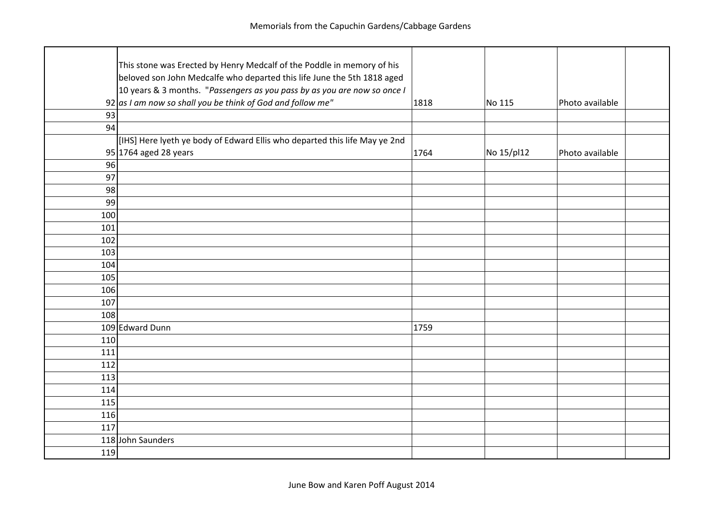|     | This stone was Erected by Henry Medcalf of the Poddle in memory of his     |      |            |                 |  |
|-----|----------------------------------------------------------------------------|------|------------|-----------------|--|
|     | beloved son John Medcalfe who departed this life June the 5th 1818 aged    |      |            |                 |  |
|     | 10 years & 3 months. "Passengers as you pass by as you are now so once I   |      |            |                 |  |
|     | 92 as I am now so shall you be think of God and follow me"                 | 1818 | No 115     | Photo available |  |
| 93  |                                                                            |      |            |                 |  |
| 94  |                                                                            |      |            |                 |  |
|     | [IHS] Here lyeth ye body of Edward Ellis who departed this life May ye 2nd |      |            |                 |  |
|     | $95 1764$ aged 28 years                                                    | 1764 | No 15/pl12 | Photo available |  |
| 96  |                                                                            |      |            |                 |  |
| 97  |                                                                            |      |            |                 |  |
| 98  |                                                                            |      |            |                 |  |
| 99  |                                                                            |      |            |                 |  |
| 100 |                                                                            |      |            |                 |  |
| 101 |                                                                            |      |            |                 |  |
| 102 |                                                                            |      |            |                 |  |
| 103 |                                                                            |      |            |                 |  |
| 104 |                                                                            |      |            |                 |  |
| 105 |                                                                            |      |            |                 |  |
| 106 |                                                                            |      |            |                 |  |
| 107 |                                                                            |      |            |                 |  |
| 108 |                                                                            |      |            |                 |  |
|     | 109 Edward Dunn                                                            | 1759 |            |                 |  |
| 110 |                                                                            |      |            |                 |  |
| 111 |                                                                            |      |            |                 |  |
| 112 |                                                                            |      |            |                 |  |
| 113 |                                                                            |      |            |                 |  |
| 114 |                                                                            |      |            |                 |  |
| 115 |                                                                            |      |            |                 |  |
| 116 |                                                                            |      |            |                 |  |
| 117 |                                                                            |      |            |                 |  |
|     | 118 John Saunders                                                          |      |            |                 |  |
| 119 |                                                                            |      |            |                 |  |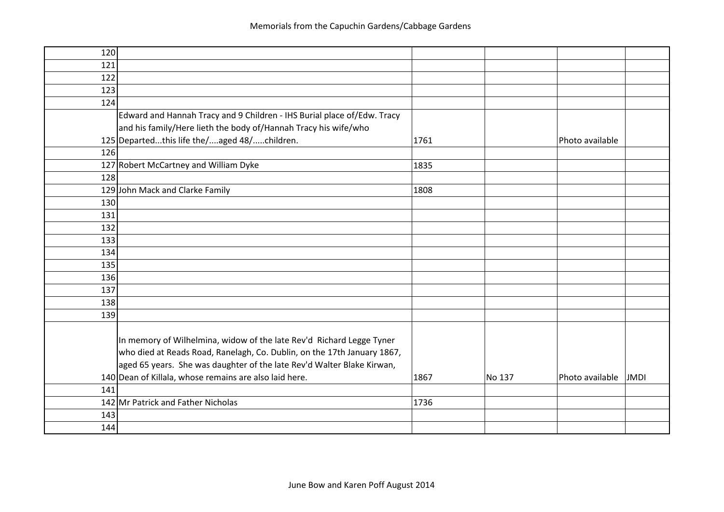| 120 |                                                                         |      |        |                                |
|-----|-------------------------------------------------------------------------|------|--------|--------------------------------|
| 121 |                                                                         |      |        |                                |
| 122 |                                                                         |      |        |                                |
| 123 |                                                                         |      |        |                                |
| 124 |                                                                         |      |        |                                |
|     | Edward and Hannah Tracy and 9 Children - IHS Burial place of/Edw. Tracy |      |        |                                |
|     | and his family/Here lieth the body of/Hannah Tracy his wife/who         |      |        |                                |
|     | 125 Departedthis life the/aged 48/children.                             | 1761 |        | Photo available                |
| 126 |                                                                         |      |        |                                |
|     | 127 Robert McCartney and William Dyke                                   | 1835 |        |                                |
| 128 |                                                                         |      |        |                                |
|     | 129 John Mack and Clarke Family                                         | 1808 |        |                                |
| 130 |                                                                         |      |        |                                |
| 131 |                                                                         |      |        |                                |
| 132 |                                                                         |      |        |                                |
| 133 |                                                                         |      |        |                                |
| 134 |                                                                         |      |        |                                |
| 135 |                                                                         |      |        |                                |
| 136 |                                                                         |      |        |                                |
| 137 |                                                                         |      |        |                                |
| 138 |                                                                         |      |        |                                |
| 139 |                                                                         |      |        |                                |
|     |                                                                         |      |        |                                |
|     | In memory of Wilhelmina, widow of the late Rev'd Richard Legge Tyner    |      |        |                                |
|     | who died at Reads Road, Ranelagh, Co. Dublin, on the 17th January 1867, |      |        |                                |
|     | aged 65 years. She was daughter of the late Rev'd Walter Blake Kirwan,  |      |        |                                |
|     | 140 Dean of Killala, whose remains are also laid here.                  | 1867 | No 137 | Photo available<br><b>JMDI</b> |
| 141 |                                                                         |      |        |                                |
|     | 142 Mr Patrick and Father Nicholas                                      | 1736 |        |                                |
| 143 |                                                                         |      |        |                                |
| 144 |                                                                         |      |        |                                |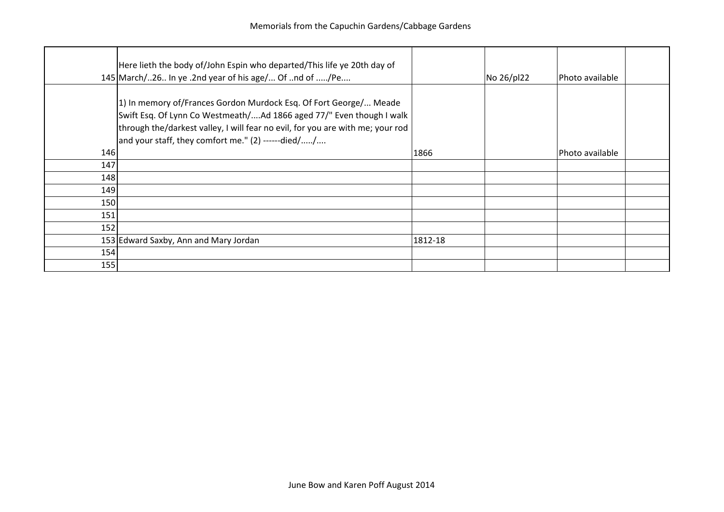|     | Here lieth the body of/John Espin who departed/This life ye 20th day of<br>145 March/26 In ye .2nd year of his age/ Of nd of /Pe                                                                                                                                                    |         | No 26/pl22 | Photo available |
|-----|-------------------------------------------------------------------------------------------------------------------------------------------------------------------------------------------------------------------------------------------------------------------------------------|---------|------------|-----------------|
| 146 | 1) In memory of/Frances Gordon Murdock Esq. Of Fort George/ Meade<br>Swift Esq. Of Lynn Co Westmeath/Ad 1866 aged 77/" Even though I walk<br>through the/darkest valley, I will fear no evil, for you are with me; your rod<br>and your staff, they comfort me." $(2)$ ------died// | 1866    |            | Photo available |
| 147 |                                                                                                                                                                                                                                                                                     |         |            |                 |
| 148 |                                                                                                                                                                                                                                                                                     |         |            |                 |
| 149 |                                                                                                                                                                                                                                                                                     |         |            |                 |
|     |                                                                                                                                                                                                                                                                                     |         |            |                 |
| 150 |                                                                                                                                                                                                                                                                                     |         |            |                 |
| 151 |                                                                                                                                                                                                                                                                                     |         |            |                 |
| 152 |                                                                                                                                                                                                                                                                                     |         |            |                 |
|     | 153 Edward Saxby, Ann and Mary Jordan                                                                                                                                                                                                                                               | 1812-18 |            |                 |
| 154 |                                                                                                                                                                                                                                                                                     |         |            |                 |
| 155 |                                                                                                                                                                                                                                                                                     |         |            |                 |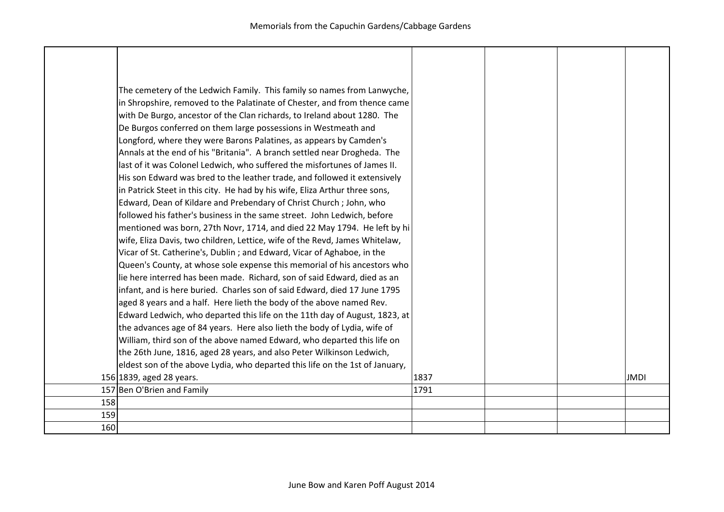|     | The cemetery of the Ledwich Family. This family so names from Lanwyche,<br>in Shropshire, removed to the Palatinate of Chester, and from thence came<br>with De Burgo, ancestor of the Clan richards, to Ireland about 1280. The<br>De Burgos conferred on them large possessions in Westmeath and<br>Longford, where they were Barons Palatines, as appears by Camden's<br>Annals at the end of his "Britania". A branch settled near Drogheda. The<br>last of it was Colonel Ledwich, who suffered the misfortunes of James II.<br>His son Edward was bred to the leather trade, and followed it extensively<br>in Patrick Steet in this city. He had by his wife, Eliza Arthur three sons,<br>Edward, Dean of Kildare and Prebendary of Christ Church; John, who<br>followed his father's business in the same street. John Ledwich, before<br>mentioned was born, 27th Novr, 1714, and died 22 May 1794. He left by hi<br>wife, Eliza Davis, two children, Lettice, wife of the Revd, James Whitelaw,<br>Vicar of St. Catherine's, Dublin; and Edward, Vicar of Aghaboe, in the<br>Queen's County, at whose sole expense this memorial of his ancestors who<br>lie here interred has been made. Richard, son of said Edward, died as an<br>infant, and is here buried. Charles son of said Edward, died 17 June 1795<br>aged 8 years and a half. Here lieth the body of the above named Rev.<br>Edward Ledwich, who departed this life on the 11th day of August, 1823, at<br>the advances age of 84 years. Here also lieth the body of Lydia, wife of<br>William, third son of the above named Edward, who departed this life on |      |  |             |
|-----|---------------------------------------------------------------------------------------------------------------------------------------------------------------------------------------------------------------------------------------------------------------------------------------------------------------------------------------------------------------------------------------------------------------------------------------------------------------------------------------------------------------------------------------------------------------------------------------------------------------------------------------------------------------------------------------------------------------------------------------------------------------------------------------------------------------------------------------------------------------------------------------------------------------------------------------------------------------------------------------------------------------------------------------------------------------------------------------------------------------------------------------------------------------------------------------------------------------------------------------------------------------------------------------------------------------------------------------------------------------------------------------------------------------------------------------------------------------------------------------------------------------------------------------------------------------------------------------------------------------------------------------|------|--|-------------|
|     | the 26th June, 1816, aged 28 years, and also Peter Wilkinson Ledwich,                                                                                                                                                                                                                                                                                                                                                                                                                                                                                                                                                                                                                                                                                                                                                                                                                                                                                                                                                                                                                                                                                                                                                                                                                                                                                                                                                                                                                                                                                                                                                                 |      |  |             |
|     | eldest son of the above Lydia, who departed this life on the 1st of January,                                                                                                                                                                                                                                                                                                                                                                                                                                                                                                                                                                                                                                                                                                                                                                                                                                                                                                                                                                                                                                                                                                                                                                                                                                                                                                                                                                                                                                                                                                                                                          |      |  |             |
|     | 156 1839, aged 28 years.                                                                                                                                                                                                                                                                                                                                                                                                                                                                                                                                                                                                                                                                                                                                                                                                                                                                                                                                                                                                                                                                                                                                                                                                                                                                                                                                                                                                                                                                                                                                                                                                              | 1837 |  | <b>JMDI</b> |
|     | 157 Ben O'Brien and Family                                                                                                                                                                                                                                                                                                                                                                                                                                                                                                                                                                                                                                                                                                                                                                                                                                                                                                                                                                                                                                                                                                                                                                                                                                                                                                                                                                                                                                                                                                                                                                                                            | 1791 |  |             |
| 158 |                                                                                                                                                                                                                                                                                                                                                                                                                                                                                                                                                                                                                                                                                                                                                                                                                                                                                                                                                                                                                                                                                                                                                                                                                                                                                                                                                                                                                                                                                                                                                                                                                                       |      |  |             |
| 159 |                                                                                                                                                                                                                                                                                                                                                                                                                                                                                                                                                                                                                                                                                                                                                                                                                                                                                                                                                                                                                                                                                                                                                                                                                                                                                                                                                                                                                                                                                                                                                                                                                                       |      |  |             |
| 160 |                                                                                                                                                                                                                                                                                                                                                                                                                                                                                                                                                                                                                                                                                                                                                                                                                                                                                                                                                                                                                                                                                                                                                                                                                                                                                                                                                                                                                                                                                                                                                                                                                                       |      |  |             |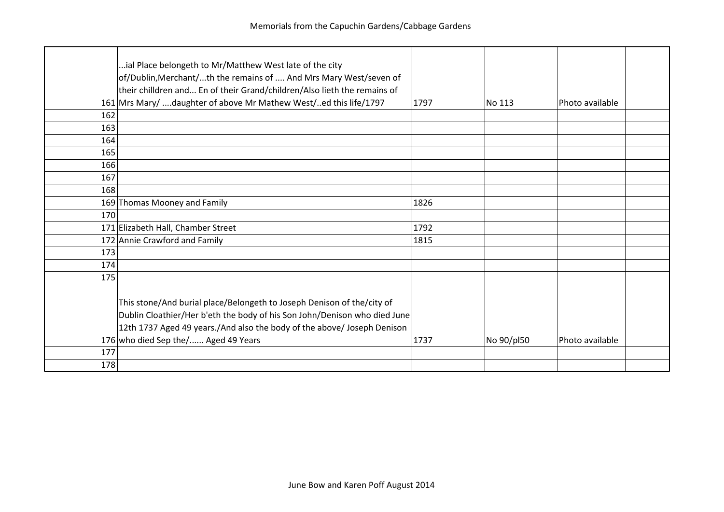|     | ial Place belongeth to Mr/Matthew West late of the city<br>of/Dublin, Merchant/th the remains of  And Mrs Mary West/seven of<br>their chilldren and En of their Grand/children/Also lieth the remains of                       |      |            |                 |  |
|-----|--------------------------------------------------------------------------------------------------------------------------------------------------------------------------------------------------------------------------------|------|------------|-----------------|--|
|     | 161 Mrs Mary/  daughter of above Mr Mathew West/ed this life/1797                                                                                                                                                              | 1797 | No 113     | Photo available |  |
| 162 |                                                                                                                                                                                                                                |      |            |                 |  |
| 163 |                                                                                                                                                                                                                                |      |            |                 |  |
| 164 |                                                                                                                                                                                                                                |      |            |                 |  |
| 165 |                                                                                                                                                                                                                                |      |            |                 |  |
| 166 |                                                                                                                                                                                                                                |      |            |                 |  |
| 167 |                                                                                                                                                                                                                                |      |            |                 |  |
| 168 |                                                                                                                                                                                                                                |      |            |                 |  |
|     | 169 Thomas Mooney and Family                                                                                                                                                                                                   | 1826 |            |                 |  |
| 170 |                                                                                                                                                                                                                                |      |            |                 |  |
|     | 171 Elizabeth Hall, Chamber Street                                                                                                                                                                                             | 1792 |            |                 |  |
|     | 172 Annie Crawford and Family                                                                                                                                                                                                  | 1815 |            |                 |  |
| 173 |                                                                                                                                                                                                                                |      |            |                 |  |
| 174 |                                                                                                                                                                                                                                |      |            |                 |  |
| 175 |                                                                                                                                                                                                                                |      |            |                 |  |
|     | This stone/And burial place/Belongeth to Joseph Denison of the/city of<br>Dublin Cloathier/Her b'eth the body of his Son John/Denison who died June<br>12th 1737 Aged 49 years./And also the body of the above/ Joseph Denison |      |            |                 |  |
|     | 176 who died Sep the/ Aged 49 Years                                                                                                                                                                                            | 1737 | No 90/pl50 | Photo available |  |
| 177 |                                                                                                                                                                                                                                |      |            |                 |  |
| 178 |                                                                                                                                                                                                                                |      |            |                 |  |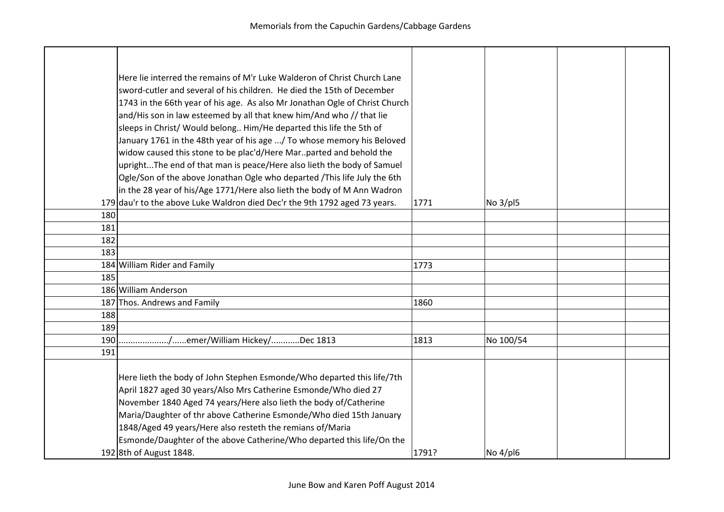|     | Here lie interred the remains of M'r Luke Walderon of Christ Church Lane<br>sword-cutler and several of his children. He died the 15th of December<br>1743 in the 66th year of his age. As also Mr Jonathan Ogle of Christ Church<br>and/His son in law esteemed by all that knew him/And who // that lie<br>sleeps in Christ/ Would belong Him/He departed this life the 5th of<br>January 1761 in the 48th year of his age  / To whose memory his Beloved<br>widow caused this stone to be plac'd/Here Mar. parted and behold the<br>uprightThe end of that man is peace/Here also lieth the body of Samuel<br>Ogle/Son of the above Jonathan Ogle who departed /This life July the 6th<br>in the 28 year of his/Age 1771/Here also lieth the body of M Ann Wadron |       |           |  |
|-----|----------------------------------------------------------------------------------------------------------------------------------------------------------------------------------------------------------------------------------------------------------------------------------------------------------------------------------------------------------------------------------------------------------------------------------------------------------------------------------------------------------------------------------------------------------------------------------------------------------------------------------------------------------------------------------------------------------------------------------------------------------------------|-------|-----------|--|
|     | 179 dau'r to the above Luke Waldron died Dec'r the 9th 1792 aged 73 years.                                                                                                                                                                                                                                                                                                                                                                                                                                                                                                                                                                                                                                                                                           | 1771  | No 3/pl5  |  |
| 180 |                                                                                                                                                                                                                                                                                                                                                                                                                                                                                                                                                                                                                                                                                                                                                                      |       |           |  |
| 181 |                                                                                                                                                                                                                                                                                                                                                                                                                                                                                                                                                                                                                                                                                                                                                                      |       |           |  |
| 182 |                                                                                                                                                                                                                                                                                                                                                                                                                                                                                                                                                                                                                                                                                                                                                                      |       |           |  |
| 183 |                                                                                                                                                                                                                                                                                                                                                                                                                                                                                                                                                                                                                                                                                                                                                                      |       |           |  |
|     | 184 William Rider and Family                                                                                                                                                                                                                                                                                                                                                                                                                                                                                                                                                                                                                                                                                                                                         | 1773  |           |  |
| 185 |                                                                                                                                                                                                                                                                                                                                                                                                                                                                                                                                                                                                                                                                                                                                                                      |       |           |  |
|     | 186 William Anderson                                                                                                                                                                                                                                                                                                                                                                                                                                                                                                                                                                                                                                                                                                                                                 |       |           |  |
|     | 187 Thos. Andrews and Family                                                                                                                                                                                                                                                                                                                                                                                                                                                                                                                                                                                                                                                                                                                                         | 1860  |           |  |
| 188 |                                                                                                                                                                                                                                                                                                                                                                                                                                                                                                                                                                                                                                                                                                                                                                      |       |           |  |
| 189 |                                                                                                                                                                                                                                                                                                                                                                                                                                                                                                                                                                                                                                                                                                                                                                      |       |           |  |
| 190 | /emer/William Hickey/Dec 1813                                                                                                                                                                                                                                                                                                                                                                                                                                                                                                                                                                                                                                                                                                                                        | 1813  | No 100/54 |  |
| 191 |                                                                                                                                                                                                                                                                                                                                                                                                                                                                                                                                                                                                                                                                                                                                                                      |       |           |  |
|     | Here lieth the body of John Stephen Esmonde/Who departed this life/7th<br>April 1827 aged 30 years/Also Mrs Catherine Esmonde/Who died 27<br>November 1840 Aged 74 years/Here also lieth the body of/Catherine<br>Maria/Daughter of thr above Catherine Esmonde/Who died 15th January<br>1848/Aged 49 years/Here also resteth the remians of/Maria<br>Esmonde/Daughter of the above Catherine/Who departed this life/On the                                                                                                                                                                                                                                                                                                                                          |       |           |  |
|     | 192 8th of August 1848.                                                                                                                                                                                                                                                                                                                                                                                                                                                                                                                                                                                                                                                                                                                                              | 1791? | No 4/pl6  |  |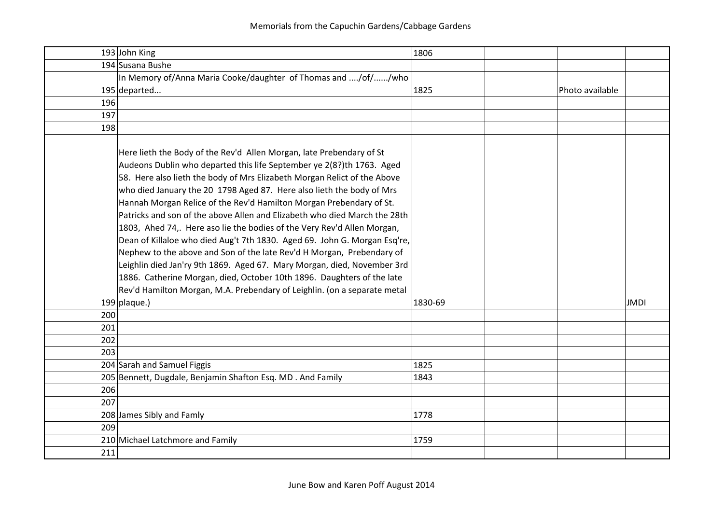|     | 193 John King                                                                                                                                                                                                                                                                                                                                                                                                                                                                                                                                                                                                                                                                                                                                                                                                                                                                                                            | 1806    |                 |
|-----|--------------------------------------------------------------------------------------------------------------------------------------------------------------------------------------------------------------------------------------------------------------------------------------------------------------------------------------------------------------------------------------------------------------------------------------------------------------------------------------------------------------------------------------------------------------------------------------------------------------------------------------------------------------------------------------------------------------------------------------------------------------------------------------------------------------------------------------------------------------------------------------------------------------------------|---------|-----------------|
|     | 194 Susana Bushe                                                                                                                                                                                                                                                                                                                                                                                                                                                                                                                                                                                                                                                                                                                                                                                                                                                                                                         |         |                 |
|     | In Memory of/Anna Maria Cooke/daughter of Thomas and /of//who                                                                                                                                                                                                                                                                                                                                                                                                                                                                                                                                                                                                                                                                                                                                                                                                                                                            |         |                 |
|     | $195$ departed                                                                                                                                                                                                                                                                                                                                                                                                                                                                                                                                                                                                                                                                                                                                                                                                                                                                                                           | 1825    | Photo available |
| 196 |                                                                                                                                                                                                                                                                                                                                                                                                                                                                                                                                                                                                                                                                                                                                                                                                                                                                                                                          |         |                 |
| 197 |                                                                                                                                                                                                                                                                                                                                                                                                                                                                                                                                                                                                                                                                                                                                                                                                                                                                                                                          |         |                 |
| 198 |                                                                                                                                                                                                                                                                                                                                                                                                                                                                                                                                                                                                                                                                                                                                                                                                                                                                                                                          |         |                 |
|     | Here lieth the Body of the Rev'd Allen Morgan, late Prebendary of St<br>Audeons Dublin who departed this life September ye 2(8?)th 1763. Aged<br>58. Here also lieth the body of Mrs Elizabeth Morgan Relict of the Above<br>who died January the 20 1798 Aged 87. Here also lieth the body of Mrs<br>Hannah Morgan Relice of the Rev'd Hamilton Morgan Prebendary of St.<br>Patricks and son of the above Allen and Elizabeth who died March the 28th<br>1803, Ahed 74,. Here aso lie the bodies of the Very Rev'd Allen Morgan,<br>Dean of Killaloe who died Aug't 7th 1830. Aged 69. John G. Morgan Esq're,<br>Nephew to the above and Son of the late Rev'd H Morgan, Prebendary of<br>Leighlin died Jan'ry 9th 1869. Aged 67. Mary Morgan, died, November 3rd<br>1886. Catherine Morgan, died, October 10th 1896. Daughters of the late<br>Rev'd Hamilton Morgan, M.A. Prebendary of Leighlin. (on a separate metal |         |                 |
|     | $199 $ plaque.)                                                                                                                                                                                                                                                                                                                                                                                                                                                                                                                                                                                                                                                                                                                                                                                                                                                                                                          | 1830-69 | <b>JMDI</b>     |
| 200 |                                                                                                                                                                                                                                                                                                                                                                                                                                                                                                                                                                                                                                                                                                                                                                                                                                                                                                                          |         |                 |
| 201 |                                                                                                                                                                                                                                                                                                                                                                                                                                                                                                                                                                                                                                                                                                                                                                                                                                                                                                                          |         |                 |
| 202 |                                                                                                                                                                                                                                                                                                                                                                                                                                                                                                                                                                                                                                                                                                                                                                                                                                                                                                                          |         |                 |
| 203 |                                                                                                                                                                                                                                                                                                                                                                                                                                                                                                                                                                                                                                                                                                                                                                                                                                                                                                                          |         |                 |
|     | 204 Sarah and Samuel Figgis                                                                                                                                                                                                                                                                                                                                                                                                                                                                                                                                                                                                                                                                                                                                                                                                                                                                                              | 1825    |                 |
|     | 205 Bennett, Dugdale, Benjamin Shafton Esq. MD. And Family                                                                                                                                                                                                                                                                                                                                                                                                                                                                                                                                                                                                                                                                                                                                                                                                                                                               | 1843    |                 |
| 206 |                                                                                                                                                                                                                                                                                                                                                                                                                                                                                                                                                                                                                                                                                                                                                                                                                                                                                                                          |         |                 |
| 207 |                                                                                                                                                                                                                                                                                                                                                                                                                                                                                                                                                                                                                                                                                                                                                                                                                                                                                                                          |         |                 |
|     | 208 James Sibly and Famly                                                                                                                                                                                                                                                                                                                                                                                                                                                                                                                                                                                                                                                                                                                                                                                                                                                                                                | 1778    |                 |
| 209 |                                                                                                                                                                                                                                                                                                                                                                                                                                                                                                                                                                                                                                                                                                                                                                                                                                                                                                                          |         |                 |
|     | 210 Michael Latchmore and Family                                                                                                                                                                                                                                                                                                                                                                                                                                                                                                                                                                                                                                                                                                                                                                                                                                                                                         | 1759    |                 |
| 211 |                                                                                                                                                                                                                                                                                                                                                                                                                                                                                                                                                                                                                                                                                                                                                                                                                                                                                                                          |         |                 |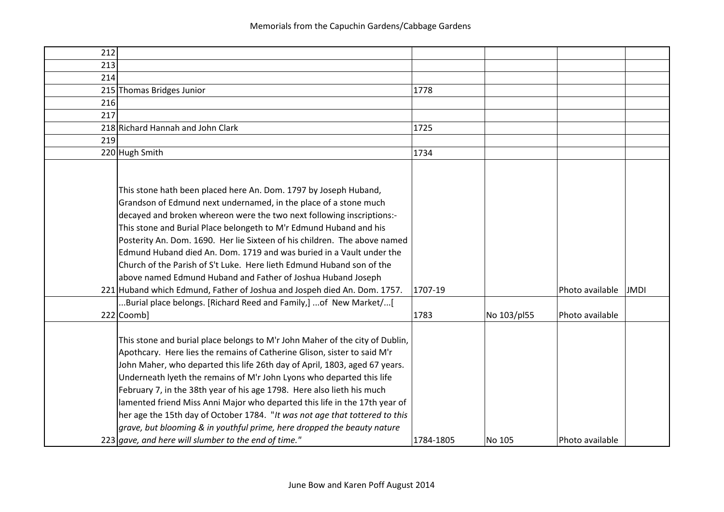| 212 |                                                                                                                                                                                                                                                                                                                                                                                                                                                                                                                                                                                                                                                                                                                                    |           |             |                                |
|-----|------------------------------------------------------------------------------------------------------------------------------------------------------------------------------------------------------------------------------------------------------------------------------------------------------------------------------------------------------------------------------------------------------------------------------------------------------------------------------------------------------------------------------------------------------------------------------------------------------------------------------------------------------------------------------------------------------------------------------------|-----------|-------------|--------------------------------|
| 213 |                                                                                                                                                                                                                                                                                                                                                                                                                                                                                                                                                                                                                                                                                                                                    |           |             |                                |
| 214 |                                                                                                                                                                                                                                                                                                                                                                                                                                                                                                                                                                                                                                                                                                                                    |           |             |                                |
|     | 215 Thomas Bridges Junior                                                                                                                                                                                                                                                                                                                                                                                                                                                                                                                                                                                                                                                                                                          | 1778      |             |                                |
| 216 |                                                                                                                                                                                                                                                                                                                                                                                                                                                                                                                                                                                                                                                                                                                                    |           |             |                                |
| 217 |                                                                                                                                                                                                                                                                                                                                                                                                                                                                                                                                                                                                                                                                                                                                    |           |             |                                |
|     | 218 Richard Hannah and John Clark                                                                                                                                                                                                                                                                                                                                                                                                                                                                                                                                                                                                                                                                                                  | 1725      |             |                                |
| 219 |                                                                                                                                                                                                                                                                                                                                                                                                                                                                                                                                                                                                                                                                                                                                    |           |             |                                |
|     | 220 Hugh Smith                                                                                                                                                                                                                                                                                                                                                                                                                                                                                                                                                                                                                                                                                                                     | 1734      |             |                                |
|     | This stone hath been placed here An. Dom. 1797 by Joseph Huband,<br>Grandson of Edmund next undernamed, in the place of a stone much<br>decayed and broken whereon were the two next following inscriptions:-<br>This stone and Burial Place belongeth to M'r Edmund Huband and his<br>Posterity An. Dom. 1690. Her lie Sixteen of his children. The above named<br>Edmund Huband died An. Dom. 1719 and was buried in a Vault under the<br>Church of the Parish of S't Luke. Here lieth Edmund Huband son of the<br>above named Edmund Huband and Father of Joshua Huband Joseph<br>221 Huband which Edmund, Father of Joshua and Jospeh died An. Dom. 1757.<br>Burial place belongs. [Richard Reed and Family,]  of New Market/[ | 1707-19   |             | Photo available<br><b>JMDI</b> |
|     | 222 Coomb]                                                                                                                                                                                                                                                                                                                                                                                                                                                                                                                                                                                                                                                                                                                         | 1783      | No 103/pl55 | Photo available                |
|     | This stone and burial place belongs to M'r John Maher of the city of Dublin,<br>Apothcary. Here lies the remains of Catherine Glison, sister to said M'r<br>John Maher, who departed this life 26th day of April, 1803, aged 67 years.<br>Underneath lyeth the remains of M'r John Lyons who departed this life<br>February 7, in the 38th year of his age 1798. Here also lieth his much<br>lamented friend Miss Anni Major who departed this life in the 17th year of<br>her age the 15th day of October 1784. "It was not age that tottered to this<br>$ $ grave, but blooming & in youthful prime, here dropped the beauty nature<br>223 gave, and here will slumber to the end of time."                                      | 1784-1805 | No 105      | Photo available                |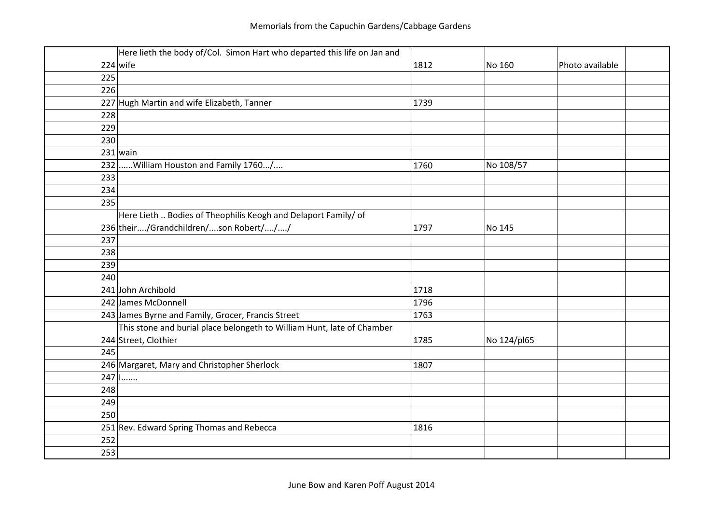|     | Here lieth the body of/Col. Simon Hart who departed this life on Jan and |      |             |                 |
|-----|--------------------------------------------------------------------------|------|-------------|-----------------|
|     | $224$ wife                                                               | 1812 | No 160      | Photo available |
| 225 |                                                                          |      |             |                 |
| 226 |                                                                          |      |             |                 |
|     | 227 Hugh Martin and wife Elizabeth, Tanner                               | 1739 |             |                 |
| 228 |                                                                          |      |             |                 |
| 229 |                                                                          |      |             |                 |
| 230 |                                                                          |      |             |                 |
|     | $231$ wain                                                               |      |             |                 |
| 232 | William Houston and Family 1760/                                         | 1760 | No 108/57   |                 |
| 233 |                                                                          |      |             |                 |
| 234 |                                                                          |      |             |                 |
| 235 |                                                                          |      |             |                 |
|     | Here Lieth  Bodies of Theophilis Keogh and Delaport Family/ of           |      |             |                 |
|     | 236 their/Grandchildren/son Robert///                                    | 1797 | No 145      |                 |
| 237 |                                                                          |      |             |                 |
| 238 |                                                                          |      |             |                 |
| 239 |                                                                          |      |             |                 |
| 240 |                                                                          |      |             |                 |
|     | 241 John Archibold                                                       | 1718 |             |                 |
|     | 242 James McDonnell                                                      | 1796 |             |                 |
|     | 243 James Byrne and Family, Grocer, Francis Street                       | 1763 |             |                 |
|     | This stone and burial place belongeth to William Hunt, late of Chamber   |      |             |                 |
|     | 244 Street, Clothier                                                     | 1785 | No 124/pl65 |                 |
| 245 |                                                                          |      |             |                 |
|     | 246 Margaret, Mary and Christopher Sherlock                              | 1807 |             |                 |
|     | $247$   $1$                                                              |      |             |                 |
| 248 |                                                                          |      |             |                 |
| 249 |                                                                          |      |             |                 |
| 250 |                                                                          |      |             |                 |
|     | 251 Rev. Edward Spring Thomas and Rebecca                                | 1816 |             |                 |
| 252 |                                                                          |      |             |                 |
| 253 |                                                                          |      |             |                 |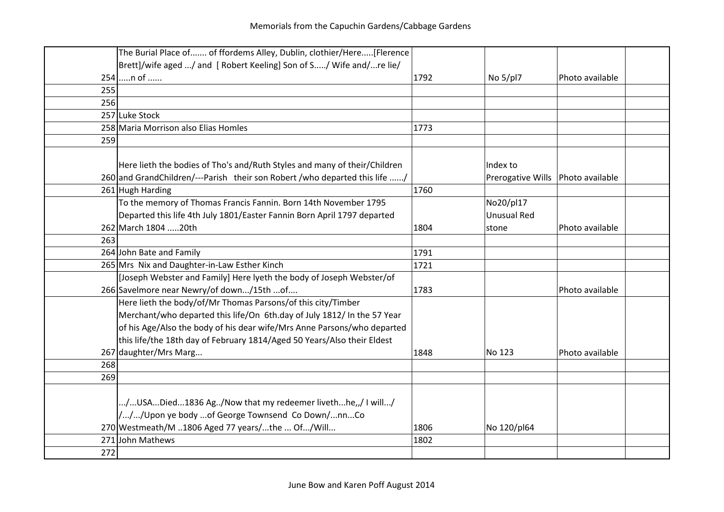|     | The Burial Place of of ffordems Alley, Dublin, clothier/Here[Flerence       |      |                    |                 |  |
|-----|-----------------------------------------------------------------------------|------|--------------------|-----------------|--|
|     | Brett]/wife aged / and [ Robert Keeling] Son of S/ Wife and/re lie/         |      |                    |                 |  |
|     | $254$ n of                                                                  | 1792 | No 5/pl7           | Photo available |  |
| 255 |                                                                             |      |                    |                 |  |
| 256 |                                                                             |      |                    |                 |  |
|     | 257 Luke Stock                                                              |      |                    |                 |  |
|     | 258 Maria Morrison also Elias Homles                                        | 1773 |                    |                 |  |
| 259 |                                                                             |      |                    |                 |  |
|     |                                                                             |      |                    |                 |  |
|     | Here lieth the bodies of Tho's and/Ruth Styles and many of their/Children   |      | Index to           |                 |  |
|     | 260 and GrandChildren/---Parish their son Robert / who departed this life / |      | Prerogative Wills  | Photo available |  |
|     | 261 Hugh Harding                                                            | 1760 |                    |                 |  |
|     | To the memory of Thomas Francis Fannin. Born 14th November 1795             |      | No20/pl17          |                 |  |
|     | Departed this life 4th July 1801/Easter Fannin Born April 1797 departed     |      | <b>Unusual Red</b> |                 |  |
|     | 262 March 1804 20th                                                         | 1804 | stone              | Photo available |  |
| 263 |                                                                             |      |                    |                 |  |
|     | 264 John Bate and Family                                                    | 1791 |                    |                 |  |
|     | 265 Mrs Nix and Daughter-in-Law Esther Kinch                                | 1721 |                    |                 |  |
|     | [Joseph Webster and Family] Here lyeth the body of Joseph Webster/of        |      |                    |                 |  |
|     | 266 Savelmore near Newry/of down/15th of                                    | 1783 |                    | Photo available |  |
|     | Here lieth the body/of/Mr Thomas Parsons/of this city/Timber                |      |                    |                 |  |
|     | Merchant/who departed this life/On 6th.day of July 1812/ In the 57 Year     |      |                    |                 |  |
|     | of his Age/Also the body of his dear wife/Mrs Anne Parsons/who departed     |      |                    |                 |  |
|     | this life/the 18th day of February 1814/Aged 50 Years/Also their Eldest     |      |                    |                 |  |
|     | 267 daughter/Mrs Marg                                                       | 1848 | No 123             | Photo available |  |
| 268 |                                                                             |      |                    |                 |  |
| 269 |                                                                             |      |                    |                 |  |
|     |                                                                             |      |                    |                 |  |
|     | /USADied1836 Ag/Now that my redeemer livethhe,,/ I will/                    |      |                    |                 |  |
|     | ///Upon ye body of George Townsend Co Down/nnCo                             |      |                    |                 |  |
|     | 270 Westmeath/M 1806 Aged 77 years/the  Of/Will                             | 1806 | No 120/pl64        |                 |  |
|     | 271 John Mathews                                                            | 1802 |                    |                 |  |
| 272 |                                                                             |      |                    |                 |  |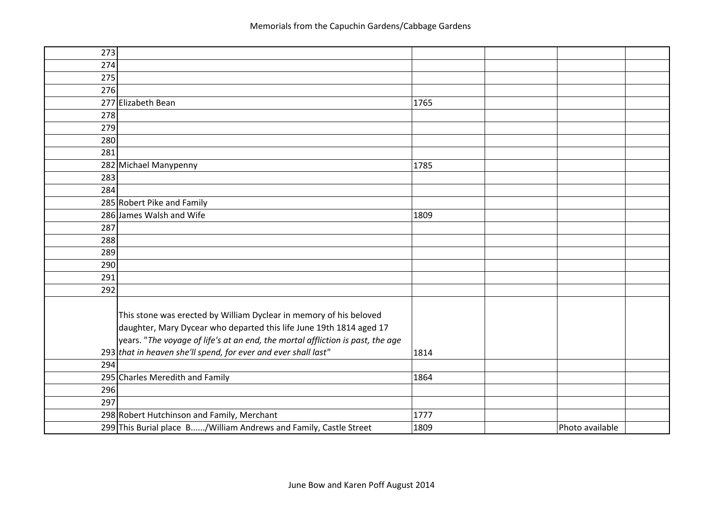| 273 |                                                                                |      |                 |  |
|-----|--------------------------------------------------------------------------------|------|-----------------|--|
| 274 |                                                                                |      |                 |  |
| 275 |                                                                                |      |                 |  |
| 276 |                                                                                |      |                 |  |
|     | 277 Elizabeth Bean                                                             | 1765 |                 |  |
| 278 |                                                                                |      |                 |  |
| 279 |                                                                                |      |                 |  |
| 280 |                                                                                |      |                 |  |
| 281 |                                                                                |      |                 |  |
|     | 282 Michael Manypenny                                                          | 1785 |                 |  |
| 283 |                                                                                |      |                 |  |
| 284 |                                                                                |      |                 |  |
|     | 285 Robert Pike and Family                                                     |      |                 |  |
|     | 286 James Walsh and Wife                                                       | 1809 |                 |  |
| 287 |                                                                                |      |                 |  |
| 288 |                                                                                |      |                 |  |
| 289 |                                                                                |      |                 |  |
| 290 |                                                                                |      |                 |  |
| 291 |                                                                                |      |                 |  |
| 292 |                                                                                |      |                 |  |
|     |                                                                                |      |                 |  |
|     | This stone was erected by William Dyclear in memory of his beloved             |      |                 |  |
|     | daughter, Mary Dycear who departed this life June 19th 1814 aged 17            |      |                 |  |
|     | years. "The voyage of life's at an end, the mortal affliction is past, the age |      |                 |  |
|     | $293$ that in heaven she'll spend, for ever and ever shall last"               | 1814 |                 |  |
| 294 |                                                                                |      |                 |  |
|     | 295 Charles Meredith and Family                                                | 1864 |                 |  |
| 296 |                                                                                |      |                 |  |
| 297 |                                                                                |      |                 |  |
|     | 298 Robert Hutchinson and Family, Merchant                                     | 1777 |                 |  |
|     | 299 This Burial place B/William Andrews and Family, Castle Street              | 1809 | Photo available |  |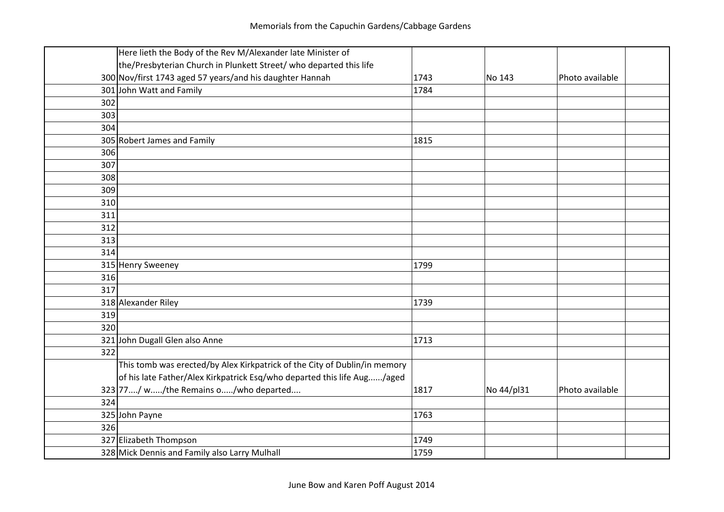|     | Here lieth the Body of the Rev M/Alexander late Minister of               |      |            |                 |
|-----|---------------------------------------------------------------------------|------|------------|-----------------|
|     | the/Presbyterian Church in Plunkett Street/ who departed this life        |      |            |                 |
|     | 300 Nov/first 1743 aged 57 years/and his daughter Hannah                  | 1743 | No 143     | Photo available |
|     | 301 John Watt and Family                                                  | 1784 |            |                 |
| 302 |                                                                           |      |            |                 |
| 303 |                                                                           |      |            |                 |
| 304 |                                                                           |      |            |                 |
|     | 305 Robert James and Family                                               | 1815 |            |                 |
| 306 |                                                                           |      |            |                 |
| 307 |                                                                           |      |            |                 |
| 308 |                                                                           |      |            |                 |
| 309 |                                                                           |      |            |                 |
| 310 |                                                                           |      |            |                 |
| 311 |                                                                           |      |            |                 |
| 312 |                                                                           |      |            |                 |
| 313 |                                                                           |      |            |                 |
| 314 |                                                                           |      |            |                 |
|     | 315 Henry Sweeney                                                         | 1799 |            |                 |
| 316 |                                                                           |      |            |                 |
| 317 |                                                                           |      |            |                 |
|     | 318 Alexander Riley                                                       | 1739 |            |                 |
| 319 |                                                                           |      |            |                 |
| 320 |                                                                           |      |            |                 |
|     | 321 John Dugall Glen also Anne                                            | 1713 |            |                 |
| 322 |                                                                           |      |            |                 |
|     | This tomb was erected/by Alex Kirkpatrick of the City of Dublin/in memory |      |            |                 |
|     | of his late Father/Alex Kirkpatrick Esq/who departed this life Aug/aged   |      |            |                 |
|     | 323 77/ w/the Remains o/who departed                                      | 1817 | No 44/pl31 | Photo available |
| 324 |                                                                           |      |            |                 |
|     | 325 John Payne                                                            | 1763 |            |                 |
| 326 |                                                                           |      |            |                 |
|     | 327 Elizabeth Thompson                                                    | 1749 |            |                 |
|     | 328 Mick Dennis and Family also Larry Mulhall                             | 1759 |            |                 |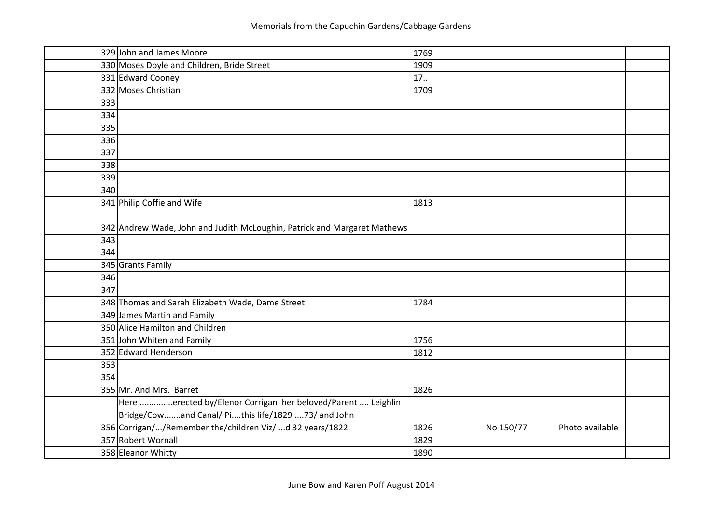|     | 329 John and James Moore                                                 | 1769 |           |                 |  |
|-----|--------------------------------------------------------------------------|------|-----------|-----------------|--|
|     | 330 Moses Doyle and Children, Bride Street                               | 1909 |           |                 |  |
|     | 331 Edward Cooney                                                        | 17.  |           |                 |  |
|     | 332 Moses Christian                                                      | 1709 |           |                 |  |
| 333 |                                                                          |      |           |                 |  |
| 334 |                                                                          |      |           |                 |  |
| 335 |                                                                          |      |           |                 |  |
| 336 |                                                                          |      |           |                 |  |
| 337 |                                                                          |      |           |                 |  |
| 338 |                                                                          |      |           |                 |  |
| 339 |                                                                          |      |           |                 |  |
| 340 |                                                                          |      |           |                 |  |
|     | 341 Philip Coffie and Wife                                               | 1813 |           |                 |  |
|     |                                                                          |      |           |                 |  |
|     | 342 Andrew Wade, John and Judith McLoughin, Patrick and Margaret Mathews |      |           |                 |  |
| 343 |                                                                          |      |           |                 |  |
| 344 |                                                                          |      |           |                 |  |
|     | 345 Grants Family                                                        |      |           |                 |  |
| 346 |                                                                          |      |           |                 |  |
| 347 |                                                                          |      |           |                 |  |
|     | 348 Thomas and Sarah Elizabeth Wade, Dame Street                         | 1784 |           |                 |  |
|     | 349 James Martin and Family                                              |      |           |                 |  |
|     | 350 Alice Hamilton and Children                                          |      |           |                 |  |
|     | 351 John Whiten and Family                                               | 1756 |           |                 |  |
|     | 352 Edward Henderson                                                     | 1812 |           |                 |  |
| 353 |                                                                          |      |           |                 |  |
| 354 |                                                                          |      |           |                 |  |
|     | 355 Mr. And Mrs. Barret                                                  | 1826 |           |                 |  |
|     | Here erected by/Elenor Corrigan her beloved/Parent  Leighlin             |      |           |                 |  |
|     | Bridge/Cowand Canal/ Pithis life/1829 73/ and John                       |      |           |                 |  |
|     | 356 Corrigan//Remember the/children Viz/ d 32 years/1822                 | 1826 | No 150/77 | Photo available |  |
|     | 357 Robert Wornall                                                       | 1829 |           |                 |  |
|     | 358 Eleanor Whitty                                                       | 1890 |           |                 |  |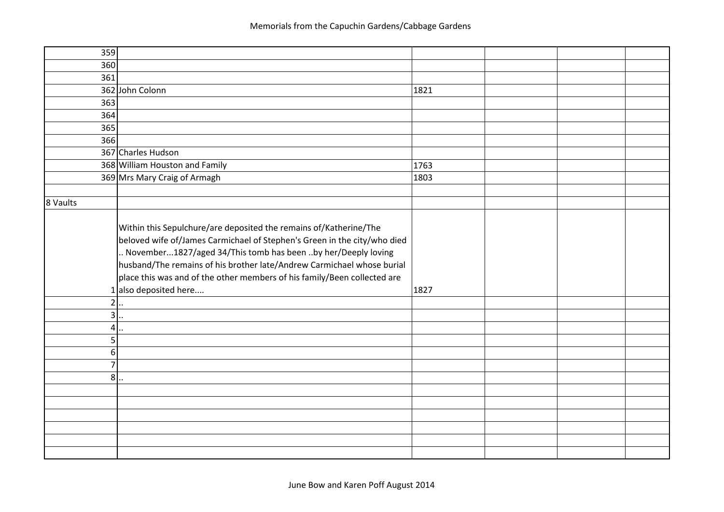| 359             |                                                                                                                                                                                                                                                                                                                                                                                                       |      |  |
|-----------------|-------------------------------------------------------------------------------------------------------------------------------------------------------------------------------------------------------------------------------------------------------------------------------------------------------------------------------------------------------------------------------------------------------|------|--|
| 360             |                                                                                                                                                                                                                                                                                                                                                                                                       |      |  |
| 361             |                                                                                                                                                                                                                                                                                                                                                                                                       |      |  |
|                 | 362 John Colonn                                                                                                                                                                                                                                                                                                                                                                                       | 1821 |  |
| 363             |                                                                                                                                                                                                                                                                                                                                                                                                       |      |  |
| 364             |                                                                                                                                                                                                                                                                                                                                                                                                       |      |  |
| 365             |                                                                                                                                                                                                                                                                                                                                                                                                       |      |  |
| 366             |                                                                                                                                                                                                                                                                                                                                                                                                       |      |  |
|                 | 367 Charles Hudson                                                                                                                                                                                                                                                                                                                                                                                    |      |  |
|                 | 368 William Houston and Family                                                                                                                                                                                                                                                                                                                                                                        | 1763 |  |
|                 | 369 Mrs Mary Craig of Armagh                                                                                                                                                                                                                                                                                                                                                                          | 1803 |  |
|                 |                                                                                                                                                                                                                                                                                                                                                                                                       |      |  |
| 8 Vaults        |                                                                                                                                                                                                                                                                                                                                                                                                       |      |  |
|                 | Within this Sepulchure/are deposited the remains of/Katherine/The<br>beloved wife of/James Carmichael of Stephen's Green in the city/who died<br>November1827/aged 34/This tomb has been by her/Deeply loving<br>husband/The remains of his brother late/Andrew Carmichael whose burial<br>place this was and of the other members of his family/Been collected are<br>1 also deposited here<br>$2$ . | 1827 |  |
| $\overline{3}$  | $\ddot{\phantom{a}}$                                                                                                                                                                                                                                                                                                                                                                                  |      |  |
| $\vert 4 \vert$ | $\ddot{\phantom{a}}$                                                                                                                                                                                                                                                                                                                                                                                  |      |  |
| 5 <sup>1</sup>  |                                                                                                                                                                                                                                                                                                                                                                                                       |      |  |
| 6 <sup>1</sup>  |                                                                                                                                                                                                                                                                                                                                                                                                       |      |  |
| $\overline{7}$  |                                                                                                                                                                                                                                                                                                                                                                                                       |      |  |
| 8               |                                                                                                                                                                                                                                                                                                                                                                                                       |      |  |
|                 |                                                                                                                                                                                                                                                                                                                                                                                                       |      |  |
|                 |                                                                                                                                                                                                                                                                                                                                                                                                       |      |  |
|                 |                                                                                                                                                                                                                                                                                                                                                                                                       |      |  |
|                 |                                                                                                                                                                                                                                                                                                                                                                                                       |      |  |
|                 |                                                                                                                                                                                                                                                                                                                                                                                                       |      |  |
|                 |                                                                                                                                                                                                                                                                                                                                                                                                       |      |  |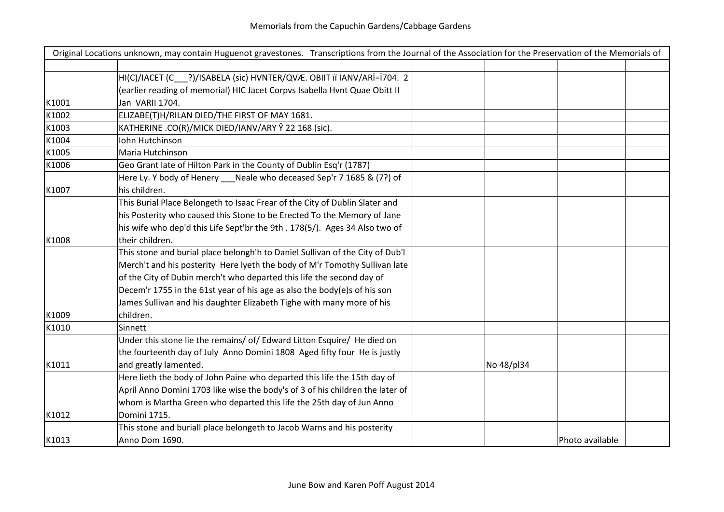|       | Original Locations unknown, may contain Huguenot gravestones. Transcriptions from the Journal of the Association for the Preservation of the Memorials of |            |                 |
|-------|-----------------------------------------------------------------------------------------------------------------------------------------------------------|------------|-----------------|
|       |                                                                                                                                                           |            |                 |
|       | HI(C)/IACET (C___?)/ISABELA (sic) HVNTER/QVÆ. OBIIT iï IANV/ARİ=İ704. 2                                                                                   |            |                 |
|       | (earlier reading of memorial) HIC Jacet Corpvs Isabella Hvnt Quae Obitt II                                                                                |            |                 |
| K1001 | Jan VARII 1704.                                                                                                                                           |            |                 |
| K1002 | ELIZABE(T)H/RILAN DIED/THE FIRST OF MAY 1681.                                                                                                             |            |                 |
| K1003 | KATHERINE .CO(R)/MICK DIED/IANV/ARY Ŷ 22 168 (sic).                                                                                                       |            |                 |
| K1004 | <b>Iohn Hutchinson</b>                                                                                                                                    |            |                 |
| K1005 | Maria Hutchinson                                                                                                                                          |            |                 |
| K1006 | Geo Grant late of Hilton Park in the County of Dublin Esq'r (1787)                                                                                        |            |                 |
|       | Here Ly. Y body of Henery Neale who deceased Sep'r 7 1685 & (7?) of                                                                                       |            |                 |
| K1007 | his children.                                                                                                                                             |            |                 |
|       | This Burial Place Belongeth to Isaac Frear of the City of Dublin Slater and                                                                               |            |                 |
|       | his Posterity who caused this Stone to be Erected To the Memory of Jane                                                                                   |            |                 |
|       | his wife who dep'd this Life Sept'br the 9th . 178(5/). Ages 34 Also two of                                                                               |            |                 |
| K1008 | their children.                                                                                                                                           |            |                 |
|       | This stone and burial place belongh'h to Daniel Sullivan of the City of Dub'l                                                                             |            |                 |
|       | Merch't and his posterity Here lyeth the body of M'r Tomothy Sullivan late                                                                                |            |                 |
|       | of the City of Dubin merch't who departed this life the second day of                                                                                     |            |                 |
|       | Decem'r 1755 in the 61st year of his age as also the body(e)s of his son                                                                                  |            |                 |
|       | James Sullivan and his daughter Elizabeth Tighe with many more of his                                                                                     |            |                 |
| K1009 | children.                                                                                                                                                 |            |                 |
| K1010 | Sinnett                                                                                                                                                   |            |                 |
|       | Under this stone lie the remains/ of/ Edward Litton Esquire/ He died on                                                                                   |            |                 |
|       | the fourteenth day of July Anno Domini 1808 Aged fifty four He is justly                                                                                  |            |                 |
| K1011 | and greatly lamented.                                                                                                                                     | No 48/pl34 |                 |
|       | Here lieth the body of John Paine who departed this life the 15th day of                                                                                  |            |                 |
|       | April Anno Domini 1703 like wise the body's of 3 of his children the later of                                                                             |            |                 |
|       | whom is Martha Green who departed this life the 25th day of Jun Anno                                                                                      |            |                 |
| K1012 | Domini 1715.                                                                                                                                              |            |                 |
|       | This stone and buriall place belongeth to Jacob Warns and his posterity                                                                                   |            |                 |
| K1013 | Anno Dom 1690.                                                                                                                                            |            | Photo available |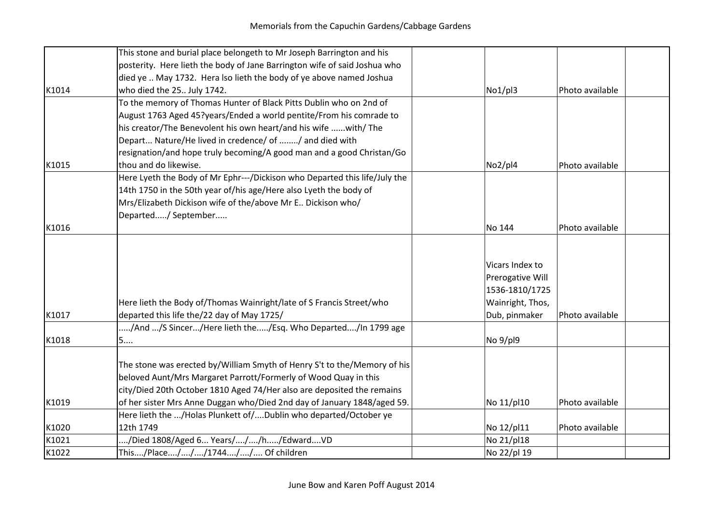|       | This stone and burial place belongeth to Mr Joseph Barrington and his      |                  |                 |
|-------|----------------------------------------------------------------------------|------------------|-----------------|
|       | posterity. Here lieth the body of Jane Barrington wife of said Joshua who  |                  |                 |
|       | died ye  May 1732. Hera lso lieth the body of ye above named Joshua        |                  |                 |
| K1014 | who died the 25 July 1742.                                                 | No1/pl3          | Photo available |
|       | To the memory of Thomas Hunter of Black Pitts Dublin who on 2nd of         |                  |                 |
|       |                                                                            |                  |                 |
|       | August 1763 Aged 45?years/Ended a world pentite/From his comrade to        |                  |                 |
|       | his creator/The Benevolent his own heart/and his wife with/ The            |                  |                 |
|       | Depart Nature/He lived in credence/ of / and died with                     |                  |                 |
|       | resignation/and hope truly becoming/A good man and a good Christan/Go      |                  |                 |
| K1015 | thou and do likewise.                                                      | No2/pl4          | Photo available |
|       | Here Lyeth the Body of Mr Ephr---/Dickison who Departed this life/July the |                  |                 |
|       | 14th 1750 in the 50th year of/his age/Here also Lyeth the body of          |                  |                 |
|       | Mrs/Elizabeth Dickison wife of the/above Mr E Dickison who/                |                  |                 |
|       | Departed/ September                                                        |                  |                 |
| K1016 |                                                                            | No 144           | Photo available |
|       |                                                                            |                  |                 |
|       |                                                                            |                  |                 |
|       |                                                                            | Vicars Index to  |                 |
|       |                                                                            | Prerogative Will |                 |
|       |                                                                            | 1536-1810/1725   |                 |
|       | Here lieth the Body of/Thomas Wainright/late of S Francis Street/who       | Wainright, Thos, |                 |
| K1017 | departed this life the/22 day of May 1725/                                 | Dub, pinmaker    | Photo available |
|       | /And /S Sincer/Here lieth the/Esq. Who Departed/In 1799 age                |                  |                 |
| K1018 | 5                                                                          | No 9/pl9         |                 |
|       |                                                                            |                  |                 |
|       | The stone was erected by/William Smyth of Henry S't to the/Memory of his   |                  |                 |
|       | beloved Aunt/Mrs Margaret Parrott/Formerly of Wood Quay in this            |                  |                 |
|       | city/Died 20th October 1810 Aged 74/Her also are deposited the remains     |                  |                 |
| K1019 | of her sister Mrs Anne Duggan who/Died 2nd day of January 1848/aged 59.    | No 11/pl10       | Photo available |
|       | Here lieth the /Holas Plunkett of/Dublin who departed/October ye           |                  |                 |
| K1020 | 12th 1749                                                                  |                  |                 |
|       |                                                                            | No 12/pl11       | Photo available |
| K1021 | /Died 1808/Aged 6 Years///h/EdwardVD                                       | No 21/pl18       |                 |
| K1022 | This/Place///1744// Of children                                            | No 22/pl 19      |                 |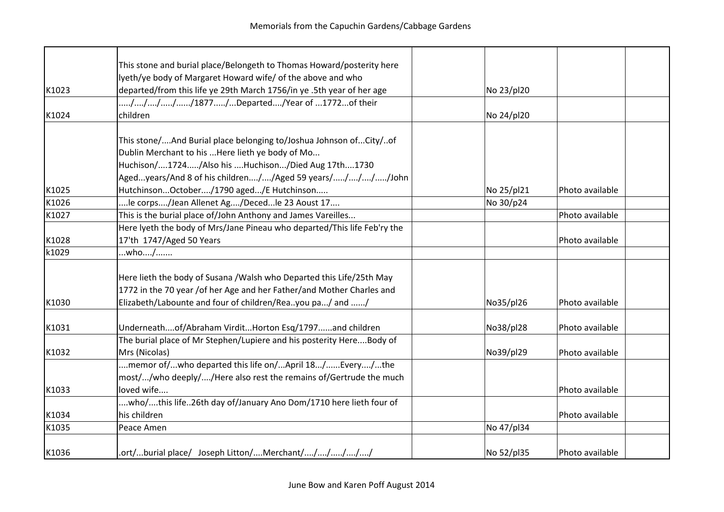|       | This stone and burial place/Belongeth to Thomas Howard/posterity here    |            |                 |  |
|-------|--------------------------------------------------------------------------|------------|-----------------|--|
|       | lyeth/ye body of Margaret Howard wife/ of the above and who              |            |                 |  |
| K1023 | departed/from this life ye 29th March 1756/in ye .5th year of her age    | No 23/pl20 |                 |  |
|       | /////1877/Departed/Year of 1772of their                                  |            |                 |  |
| K1024 | children                                                                 | No 24/pl20 |                 |  |
|       | This stone/And Burial place belonging to/Joshua Johnson ofCity/of        |            |                 |  |
|       | Dublin Merchant to his  Here lieth ye body of Mo                         |            |                 |  |
|       | Huchison/1724/Also his Huchison/Died Aug 17th1730                        |            |                 |  |
|       | Agedyears/And 8 of his children//Aged 59 years/////John                  |            |                 |  |
| K1025 | HutchinsonOctober/1790 aged/E Hutchinson                                 | No 25/pl21 | Photo available |  |
| K1026 | le corps/Jean Allenet Ag/Decedle 23 Aoust 17                             | No 30/p24  |                 |  |
| K1027 | This is the burial place of/John Anthony and James Vareilles             |            | Photo available |  |
|       | Here lyeth the body of Mrs/Jane Pineau who departed/This life Feb'ry the |            |                 |  |
| K1028 | 17'th 1747/Aged 50 Years                                                 |            | Photo available |  |
| k1029 | who/                                                                     |            |                 |  |
|       | Here lieth the body of Susana /Walsh who Departed this Life/25th May     |            |                 |  |
|       | 1772 in the 70 year / of her Age and her Father/and Mother Charles and   |            |                 |  |
| K1030 | Elizabeth/Labounte and four of children/Reayou pa/ and /                 | No35/pl26  | Photo available |  |
| K1031 | Underneathof/Abraham VirditHorton Esq/1797and children                   | No38/pl28  | Photo available |  |
|       | The burial place of Mr Stephen/Lupiere and his posterity HereBody of     |            |                 |  |
| K1032 | Mrs (Nicolas)                                                            | No39/pl29  | Photo available |  |
|       | memor of/who departed this life on/April 18/Every/the                    |            |                 |  |
|       | most//who deeply//Here also rest the remains of/Gertrude the much        |            |                 |  |
| K1033 | loved wife                                                               |            | Photo available |  |
|       | who/this life26th day of/January Ano Dom/1710 here lieth four of         |            |                 |  |
| K1034 | his children                                                             |            | Photo available |  |
| K1035 | Peace Amen                                                               | No 47/pl34 |                 |  |
| K1036 | .ort/burial place/ Joseph Litton/Merchant/////                           | No 52/pl35 | Photo available |  |
|       |                                                                          |            |                 |  |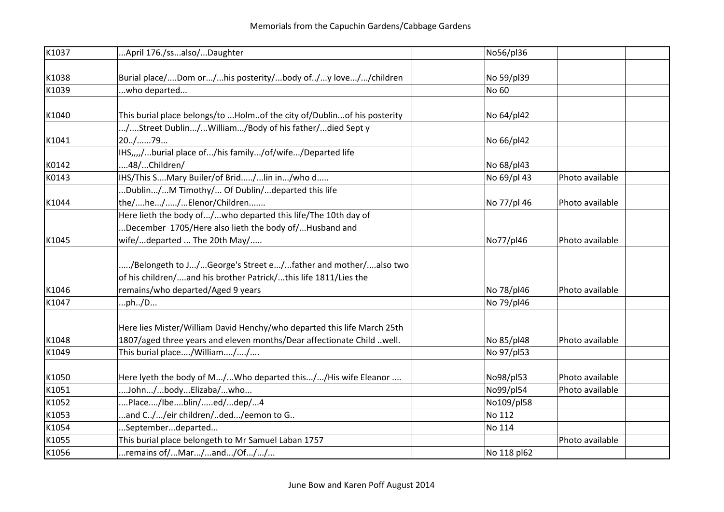| K1037 | April 176./ssalso/Daughter                                              | No56/pl36   |                 |
|-------|-------------------------------------------------------------------------|-------------|-----------------|
|       |                                                                         |             |                 |
| K1038 | Burial place/Dom or/his posterity/body of/y love//children              | No 59/pl39  |                 |
| K1039 | who departed                                                            | No 60       |                 |
|       |                                                                         |             |                 |
| K1040 | This burial place belongs/to Holmof the city of/Dublinof his posterity  | No 64/pl42  |                 |
|       | /Street Dublin/William/Body of his father/died Sept y                   |             |                 |
| K1041 | $20.1$ 79                                                               | No 66/pl42  |                 |
|       | IHS,,,,/burial place of/his family/of/wife/Departed life                |             |                 |
| K0142 | 48/Children/                                                            | No 68/pl43  |                 |
| K0143 | IHS/This SMary Builer/of Brid/lin in/who d                              | No 69/pl 43 | Photo available |
|       | Dublin/M Timothy/ Of Dublin/departed this life                          |             |                 |
| K1044 | the/he//Elenor/Children                                                 | No 77/pl 46 | Photo available |
|       | Here lieth the body of/who departed this life/The 10th day of           |             |                 |
|       | December 1705/Here also lieth the body of/Husband and                   |             |                 |
| K1045 | wife/departed  The 20th May/                                            | No77/pl46   | Photo available |
|       |                                                                         |             |                 |
|       | /Belongeth to J/George's Street e/father and mother/also two            |             |                 |
|       | of his children/and his brother Patrick/this life 1811/Lies the         |             |                 |
| K1046 | remains/who departed/Aged 9 years                                       | No 78/pl46  | Photo available |
| K1047 | ph/D                                                                    | No 79/pl46  |                 |
|       |                                                                         |             |                 |
|       | Here lies Mister/William David Henchy/who departed this life March 25th |             |                 |
| K1048 | 1807/aged three years and eleven months/Dear affectionate Child well.   | No 85/pl48  | Photo available |
| K1049 | This burial place/William//                                             | No 97/pl53  |                 |
|       |                                                                         |             |                 |
| K1050 | Here lyeth the body of M/Who departed this//His wife Eleanor            | No98/pl53   | Photo available |
| K1051 | John/bodyElizaba/who                                                    | No99/pl54   | Photo available |
| K1052 | Place/Ibeblin/ed/dep/4                                                  | No109/pl58  |                 |
| K1053 | and C//eir children/ded/eemon to G                                      | No 112      |                 |
| K1054 | Septemberdeparted                                                       | No 114      |                 |
| K1055 | This burial place belongeth to Mr Samuel Laban 1757                     |             | Photo available |
| K1056 | remains of/Mar/and/Of//                                                 | No 118 pl62 |                 |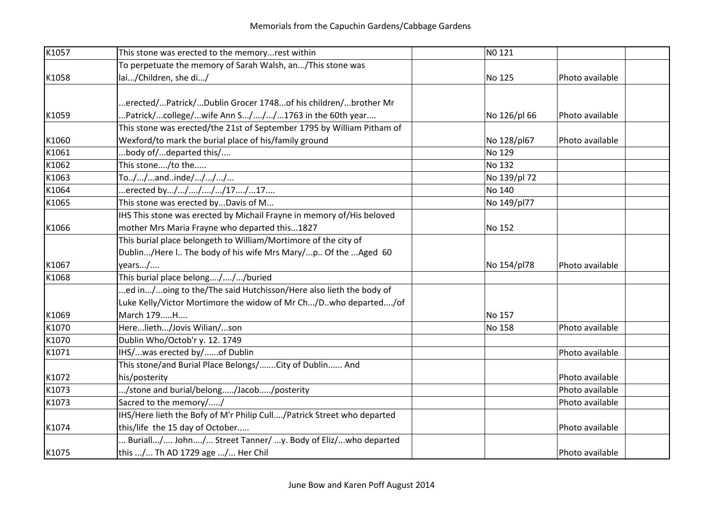| K1057 | This stone was erected to the memoryrest within                        | NO 121       |                 |  |
|-------|------------------------------------------------------------------------|--------------|-----------------|--|
|       | To perpetuate the memory of Sarah Walsh, an/This stone was             |              |                 |  |
| K1058 | lai/Children, she di/                                                  | No 125       | Photo available |  |
|       |                                                                        |              |                 |  |
|       | erected/Patrick/Dublin Grocer 1748of his children/brother Mr           |              |                 |  |
| K1059 | Patrick/college/wife Ann S///1763 in the 60th year                     | No 126/pl 66 | Photo available |  |
|       | This stone was erected/the 21st of September 1795 by William Pitham of |              |                 |  |
| K1060 | Wexford/to mark the burial place of his/family ground                  | No 128/pl67  | Photo available |  |
| K1061 | body of/departed this/                                                 | No 129       |                 |  |
| K1062 | This stone/to the                                                      | No 132       |                 |  |
| K1063 | To//andinde////                                                        | No 139/pl 72 |                 |  |
| K1064 | erected by/////17/17                                                   | No 140       |                 |  |
| K1065 | This stone was erected byDavis of M                                    | No 149/pl77  |                 |  |
|       | IHS This stone was erected by Michail Frayne in memory of/His beloved  |              |                 |  |
| K1066 | mother Mrs Maria Frayne who departed this1827                          | No 152       |                 |  |
|       | This burial place belongeth to William/Mortimore of the city of        |              |                 |  |
|       | Dublin/Here l The body of his wife Mrs Mary/p Of the Aged 60           |              |                 |  |
| K1067 | years/                                                                 | No 154/pl78  | Photo available |  |
| K1068 | This burial place belong///buried                                      |              |                 |  |
|       | ed in/oing to the/The said Hutchisson/Here also lieth the body of      |              |                 |  |
|       | Luke Kelly/Victor Mortimore the widow of Mr Ch/D. who departed/of      |              |                 |  |
| K1069 | March 179H                                                             | No 157       |                 |  |
| K1070 | Herelieth/Jovis Wilian/son                                             | No 158       | Photo available |  |
| K1070 | Dublin Who/Octob'r y. 12. 1749                                         |              |                 |  |
| K1071 | IHS/was erected by/of Dublin                                           |              | Photo available |  |
|       | This stone/and Burial Place Belongs/ City of Dublin And                |              |                 |  |
| K1072 | his/posterity                                                          |              | Photo available |  |
| K1073 | /stone and burial/belong/Jacob/posterity                               |              | Photo available |  |
| K1073 | Sacred to the memory//                                                 |              | Photo available |  |
|       | IHS/Here lieth the Bofy of M'r Philip Cull/Patrick Street who departed |              |                 |  |
| K1074 | this/life the 15 day of October                                        |              | Photo available |  |
|       | Buriall/ John/ Street Tanner/ y. Body of Eliz/who departed             |              |                 |  |
| K1075 | this / Th AD 1729 age / Her Chil                                       |              | Photo available |  |